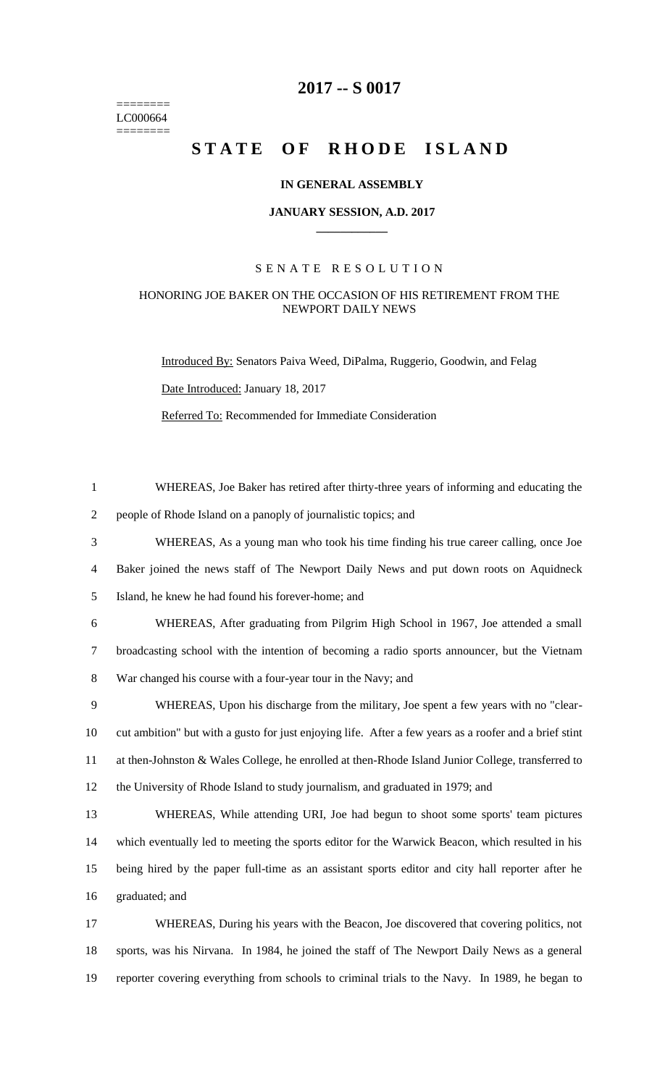======== LC000664  $=$ 

# **-- S 0017**

# STATE OF RHODE ISLAND

#### **IN GENERAL ASSEMBLY**

#### **JANUARY SESSION, A.D. 2017 \_\_\_\_\_\_\_\_\_\_\_\_**

## S E N A T E R E S O L U T I O N

## HONORING JOE BAKER ON THE OCCASION OF HIS RETIREMENT FROM THE NEWPORT DAILY NEWS

Introduced By: Senators Paiva Weed, DiPalma, Ruggerio, Goodwin, and Felag Date Introduced: January 18, 2017

Referred To: Recommended for Immediate Consideration

| $\mathbf{1}$   | WHEREAS, Joe Baker has retired after thirty-three years of informing and educating the                 |
|----------------|--------------------------------------------------------------------------------------------------------|
| $\overline{2}$ | people of Rhode Island on a panoply of journalistic topics; and                                        |
| 3              | WHEREAS, As a young man who took his time finding his true career calling, once Joe                    |
| 4              | Baker joined the news staff of The Newport Daily News and put down roots on Aquidneck                  |
| 5              | Island, he knew he had found his forever-home; and                                                     |
| 6              | WHEREAS, After graduating from Pilgrim High School in 1967, Joe attended a small                       |
| $\tau$         | broadcasting school with the intention of becoming a radio sports announcer, but the Vietnam           |
| $8\,$          | War changed his course with a four-year tour in the Navy; and                                          |
| 9              | WHEREAS, Upon his discharge from the military, Joe spent a few years with no "clear-                   |
| 10             | cut ambition" but with a gusto for just enjoying life. After a few years as a roofer and a brief stint |
| 11             | at then-Johnston & Wales College, he enrolled at then-Rhode Island Junior College, transferred to      |
| 12             | the University of Rhode Island to study journalism, and graduated in 1979; and                         |
| 13             | WHEREAS, While attending URI, Joe had begun to shoot some sports' team pictures                        |
| 14             | which eventually led to meeting the sports editor for the Warwick Beacon, which resulted in his        |
| 15             | being hired by the paper full-time as an assistant sports editor and city hall reporter after he       |
| 16             | graduated; and                                                                                         |
| 17             | WHEREAS, During his years with the Beacon, Joe discovered that covering politics, not                  |
| 18             | sports, was his Nirvana. In 1984, he joined the staff of The Newport Daily News as a general           |
| 19             | reporter covering everything from schools to criminal trials to the Navy. In 1989, he began to         |